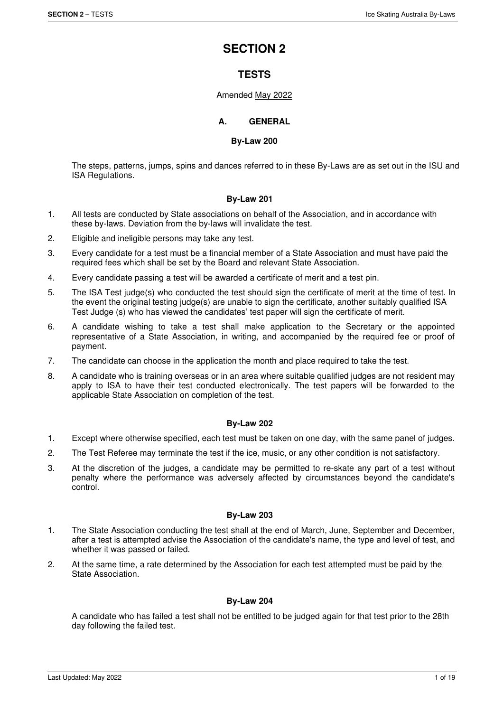# **SECTION 2**

# **TESTS**

# Amended May 2022

# **A. GENERAL**

### **By-Law 200**

The steps, patterns, jumps, spins and dances referred to in these By-Laws are as set out in the ISU and ISA Regulations.

# **By-Law 201**

- 1. All tests are conducted by State associations on behalf of the Association, and in accordance with these by-laws. Deviation from the by-laws will invalidate the test.
- 2. Eligible and ineligible persons may take any test.
- 3. Every candidate for a test must be a financial member of a State Association and must have paid the required fees which shall be set by the Board and relevant State Association.
- 4. Every candidate passing a test will be awarded a certificate of merit and a test pin.
- 5. The ISA Test judge(s) who conducted the test should sign the certificate of merit at the time of test. In the event the original testing judge(s) are unable to sign the certificate, another suitably qualified ISA Test Judge (s) who has viewed the candidates' test paper will sign the certificate of merit.
- 6. A candidate wishing to take a test shall make application to the Secretary or the appointed representative of a State Association, in writing, and accompanied by the required fee or proof of payment.
- 7. The candidate can choose in the application the month and place required to take the test.
- 8. A candidate who is training overseas or in an area where suitable qualified judges are not resident may apply to ISA to have their test conducted electronically. The test papers will be forwarded to the applicable State Association on completion of the test.

# **By-Law 202**

- 1. Except where otherwise specified, each test must be taken on one day, with the same panel of judges.
- 2. The Test Referee may terminate the test if the ice, music, or any other condition is not satisfactory.
- 3. At the discretion of the judges, a candidate may be permitted to re-skate any part of a test without penalty where the performance was adversely affected by circumstances beyond the candidate's control.

# **By-Law 203**

- 1. The State Association conducting the test shall at the end of March, June, September and December, after a test is attempted advise the Association of the candidate's name, the type and level of test, and whether it was passed or failed.
- 2. At the same time, a rate determined by the Association for each test attempted must be paid by the State Association.

# **By-Law 204**

A candidate who has failed a test shall not be entitled to be judged again for that test prior to the 28th day following the failed test.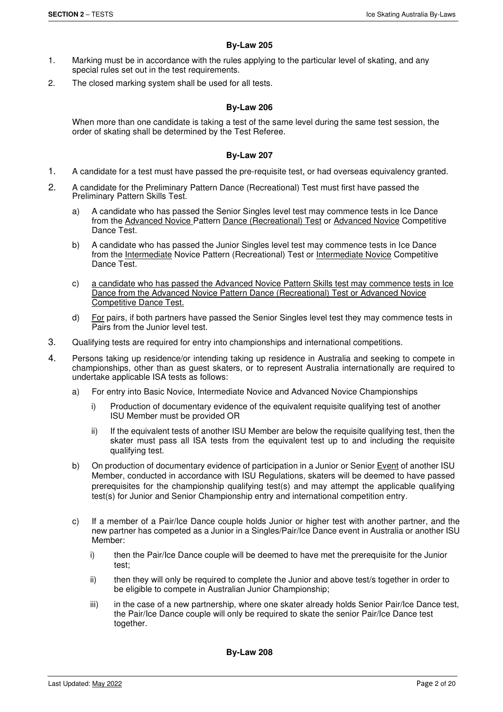# **By-Law 205**

- 1. Marking must be in accordance with the rules applying to the particular level of skating, and any special rules set out in the test requirements.
- 2. The closed marking system shall be used for all tests.

# **By-Law 206**

When more than one candidate is taking a test of the same level during the same test session, the order of skating shall be determined by the Test Referee.

### **By-Law 207**

- 1. A candidate for a test must have passed the pre-requisite test, or had overseas equivalency granted.
- 2. A candidate for the Preliminary Pattern Dance (Recreational) Test must first have passed the Preliminary Pattern Skills Test.
	- a) A candidate who has passed the Senior Singles level test may commence tests in Ice Dance from the Advanced Novice Pattern Dance (Recreational) Test or Advanced Novice Competitive Dance Test.
	- b) A candidate who has passed the Junior Singles level test may commence tests in Ice Dance from the Intermediate Novice Pattern (Recreational) Test or Intermediate Novice Competitive Dance Test.
	- c) a candidate who has passed the Advanced Novice Pattern Skills test may commence tests in Ice Dance from the Advanced Novice Pattern Dance (Recreational) Test or Advanced Novice Competitive Dance Test.
	- d) For pairs, if both partners have passed the Senior Singles level test they may commence tests in Pairs from the Junior level test.
- 3. Qualifying tests are required for entry into championships and international competitions.
- 4. Persons taking up residence/or intending taking up residence in Australia and seeking to compete in championships, other than as guest skaters, or to represent Australia internationally are required to undertake applicable ISA tests as follows:
	- a) For entry into Basic Novice, Intermediate Novice and Advanced Novice Championships
		- i) Production of documentary evidence of the equivalent requisite qualifying test of another ISU Member must be provided OR
		- ii) If the equivalent tests of another ISU Member are below the requisite qualifying test, then the skater must pass all ISA tests from the equivalent test up to and including the requisite qualifying test.
	- b) On production of documentary evidence of participation in a Junior or Senior Event of another ISU Member, conducted in accordance with ISU Regulations, skaters will be deemed to have passed prerequisites for the championship qualifying test(s) and may attempt the applicable qualifying test(s) for Junior and Senior Championship entry and international competition entry.
	- c) If a member of a Pair/Ice Dance couple holds Junior or higher test with another partner, and the new partner has competed as a Junior in a Singles/Pair/Ice Dance event in Australia or another ISU Member:
		- i) then the Pair/Ice Dance couple will be deemed to have met the prerequisite for the Junior test;
		- ii) then they will only be required to complete the Junior and above test/s together in order to be eligible to compete in Australian Junior Championship;
		- iii) in the case of a new partnership, where one skater already holds Senior Pair/Ice Dance test, the Pair/Ice Dance couple will only be required to skate the senior Pair/Ice Dance test together.

**By-Law 208**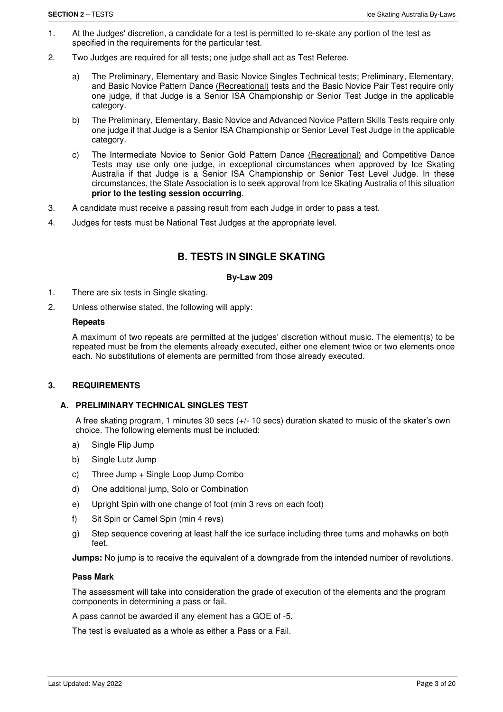- 1. At the Judges' discretion, a candidate for a test is permitted to re-skate any portion of the test as specified in the requirements for the particular test.
- 2. Two Judges are required for all tests; one judge shall act as Test Referee.
	- a) The Preliminary, Elementary and Basic Novice Singles Technical tests; Preliminary, Elementary, and Basic Novice Pattern Dance (Recreational) tests and the Basic Novice Pair Test require only one judge, if that Judge is a Senior ISA Championship or Senior Test Judge in the applicable category.
	- b) The Preliminary, Elementary, Basic Novice and Advanced Novice Pattern Skills Tests require only one judge if that Judge is a Senior ISA Championship or Senior Level Test Judge in the applicable category.
	- c) The Intermediate Novice to Senior Gold Pattern Dance (Recreational) and Competitive Dance Tests may use only one judge, in exceptional circumstances when approved by Ice Skating Australia if that Judge is a Senior ISA Championship or Senior Test Level Judge. In these circumstances, the State Association is to seek approval from Ice Skating Australia of this situation **prior to the testing session occurring**.
- 3. A candidate must receive a passing result from each Judge in order to pass a test.
- 4. Judges for tests must be National Test Judges at the appropriate level.

# **B. TESTS IN SINGLE SKATING**

#### **By-Law 209**

- 1. There are six tests in Single skating.
- 2. Unless otherwise stated, the following will apply:

#### **Repeats**

A maximum of two repeats are permitted at the judges' discretion without music. The element(s) to be repeated must be from the elements already executed, either one element twice or two elements once each. No substitutions of elements are permitted from those already executed.

### **3. REQUIREMENTS**

# **A. PRELIMINARY TECHNICAL SINGLES TEST**

A free skating program, 1 minutes 30 secs (+/- 10 secs) duration skated to music of the skater's own choice. The following elements must be included:

- a) Single Flip Jump
- b) Single Lutz Jump
- c) Three Jump + Single Loop Jump Combo
- d) One additional jump, Solo or Combination
- e) Upright Spin with one change of foot (min 3 revs on each foot)
- f) Sit Spin or Camel Spin (min 4 revs)
- g) Step sequence covering at least half the ice surface including three turns and mohawks on both feet.

**Jumps:** No jump is to receive the equivalent of a downgrade from the intended number of revolutions.

#### **Pass Mark**

The assessment will take into consideration the grade of execution of the elements and the program components in determining a pass or fail.

A pass cannot be awarded if any element has a GOE of -5.

The test is evaluated as a whole as either a Pass or a Fail.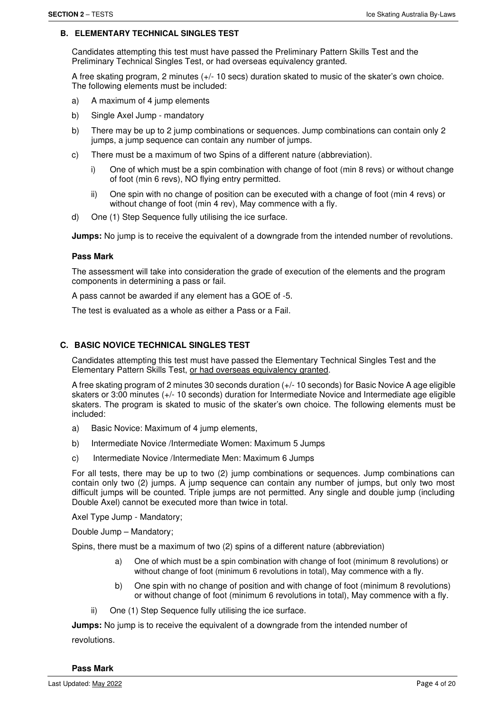#### **B. ELEMENTARY TECHNICAL SINGLES TEST**

Candidates attempting this test must have passed the Preliminary Pattern Skills Test and the Preliminary Technical Singles Test, or had overseas equivalency granted.

A free skating program, 2 minutes (+/- 10 secs) duration skated to music of the skater's own choice. The following elements must be included:

- a) A maximum of 4 jump elements
- b) Single Axel Jump mandatory
- b) There may be up to 2 jump combinations or sequences. Jump combinations can contain only 2 jumps, a jump sequence can contain any number of jumps.
- c) There must be a maximum of two Spins of a different nature (abbreviation).
	- i) One of which must be a spin combination with change of foot (min 8 revs) or without change of foot (min 6 revs), NO flying entry permitted.
	- ii) One spin with no change of position can be executed with a change of foot (min 4 revs) or without change of foot (min 4 rev), May commence with a fly.
- d) One (1) Step Sequence fully utilising the ice surface.

**Jumps:** No jump is to receive the equivalent of a downgrade from the intended number of revolutions.

#### **Pass Mark**

The assessment will take into consideration the grade of execution of the elements and the program components in determining a pass or fail.

A pass cannot be awarded if any element has a GOE of -5.

The test is evaluated as a whole as either a Pass or a Fail.

### **C. BASIC NOVICE TECHNICAL SINGLES TEST**

Candidates attempting this test must have passed the Elementary Technical Singles Test and the Elementary Pattern Skills Test, or had overseas equivalency granted.

A free skating program of 2 minutes 30 seconds duration (+/- 10 seconds) for Basic Novice A age eligible skaters or 3:00 minutes (+/- 10 seconds) duration for Intermediate Novice and Intermediate age eligible skaters. The program is skated to music of the skater's own choice. The following elements must be included:

- a) Basic Novice: Maximum of 4 jump elements,
- b) Intermediate Novice /Intermediate Women: Maximum 5 Jumps
- c) Intermediate Novice /Intermediate Men: Maximum 6 Jumps

For all tests, there may be up to two (2) jump combinations or sequences. Jump combinations can contain only two (2) jumps. A jump sequence can contain any number of jumps, but only two most difficult jumps will be counted. Triple jumps are not permitted. Any single and double jump (including Double Axel) cannot be executed more than twice in total.

Axel Type Jump - Mandatory;

Double Jump – Mandatory;

Spins, there must be a maximum of two (2) spins of a different nature (abbreviation)

- a) One of which must be a spin combination with change of foot (minimum 8 revolutions) or without change of foot (minimum 6 revolutions in total), May commence with a fly.
- b) One spin with no change of position and with change of foot (minimum 8 revolutions) or without change of foot (minimum 6 revolutions in total), May commence with a fly.
- ii) One (1) Step Sequence fully utilising the ice surface.

**Jumps:** No jump is to receive the equivalent of a downgrade from the intended number of revolutions.

**Pass Mark**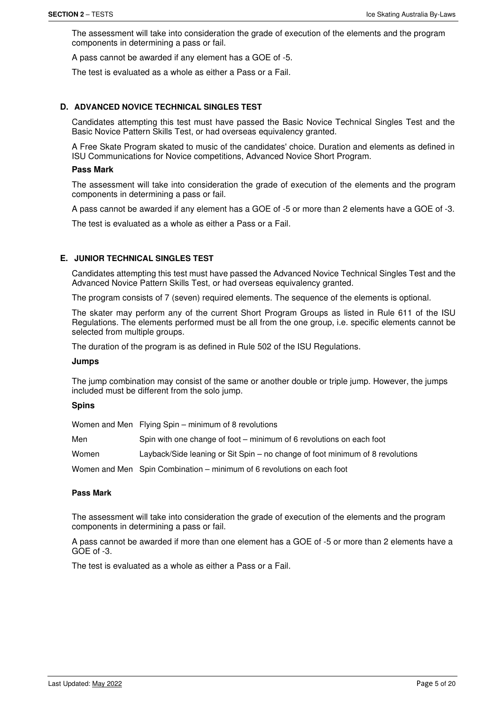The assessment will take into consideration the grade of execution of the elements and the program components in determining a pass or fail.

A pass cannot be awarded if any element has a GOE of -5.

The test is evaluated as a whole as either a Pass or a Fail.

### **D. ADVANCED NOVICE TECHNICAL SINGLES TEST**

Candidates attempting this test must have passed the Basic Novice Technical Singles Test and the Basic Novice Pattern Skills Test, or had overseas equivalency granted.

A Free Skate Program skated to music of the candidates' choice. Duration and elements as defined in ISU Communications for Novice competitions, Advanced Novice Short Program.

#### **Pass Mark**

The assessment will take into consideration the grade of execution of the elements and the program components in determining a pass or fail.

A pass cannot be awarded if any element has a GOE of -5 or more than 2 elements have a GOE of -3.

The test is evaluated as a whole as either a Pass or a Fail.

### **E. JUNIOR TECHNICAL SINGLES TEST**

Candidates attempting this test must have passed the Advanced Novice Technical Singles Test and the Advanced Novice Pattern Skills Test, or had overseas equivalency granted.

The program consists of 7 (seven) required elements. The sequence of the elements is optional.

The skater may perform any of the current Short Program Groups as listed in Rule 611 of the ISU Regulations. The elements performed must be all from the one group, i.e. specific elements cannot be selected from multiple groups.

The duration of the program is as defined in Rule 502 of the ISU Regulations.

#### **Jumps**

The jump combination may consist of the same or another double or triple jump. However, the jumps included must be different from the solo jump.

#### **Spins**

|       | Women and Men Flying Spin – minimum of 8 revolutions                          |
|-------|-------------------------------------------------------------------------------|
| Men   | Spin with one change of foot – minimum of 6 revolutions on each foot          |
| Women | Layback/Side leaning or Sit Spin – no change of foot minimum of 8 revolutions |
|       | Women and Men Spin Combination - minimum of 6 revolutions on each foot        |

#### **Pass Mark**

The assessment will take into consideration the grade of execution of the elements and the program components in determining a pass or fail.

A pass cannot be awarded if more than one element has a GOE of -5 or more than 2 elements have a GOE of -3.

The test is evaluated as a whole as either a Pass or a Fail.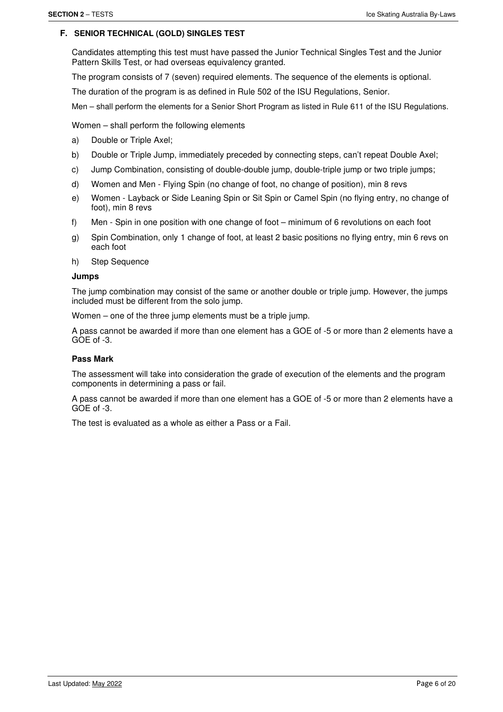#### **F. SENIOR TECHNICAL (GOLD) SINGLES TEST**

Candidates attempting this test must have passed the Junior Technical Singles Test and the Junior Pattern Skills Test, or had overseas equivalency granted.

The program consists of 7 (seven) required elements. The sequence of the elements is optional.

The duration of the program is as defined in Rule 502 of the ISU Regulations, Senior.

Men – shall perform the elements for a Senior Short Program as listed in Rule 611 of the ISU Regulations.

Women – shall perform the following elements

- a) Double or Triple Axel;
- b) Double or Triple Jump, immediately preceded by connecting steps, can't repeat Double Axel;
- c) Jump Combination, consisting of double-double jump, double-triple jump or two triple jumps;
- d) Women and Men Flying Spin (no change of foot, no change of position), min 8 revs
- e) Women Layback or Side Leaning Spin or Sit Spin or Camel Spin (no flying entry, no change of foot), min 8 revs
- f) Men Spin in one position with one change of foot minimum of 6 revolutions on each foot
- g) Spin Combination, only 1 change of foot, at least 2 basic positions no flying entry, min 6 revs on each foot
- h) Step Sequence

#### **Jumps**

The jump combination may consist of the same or another double or triple jump. However, the jumps included must be different from the solo jump.

Women – one of the three jump elements must be a triple jump.

A pass cannot be awarded if more than one element has a GOE of -5 or more than 2 elements have a  $GOE$  of  $-3$ .

# **Pass Mark**

The assessment will take into consideration the grade of execution of the elements and the program components in determining a pass or fail.

A pass cannot be awarded if more than one element has a GOE of -5 or more than 2 elements have a GOE of -3.

The test is evaluated as a whole as either a Pass or a Fail.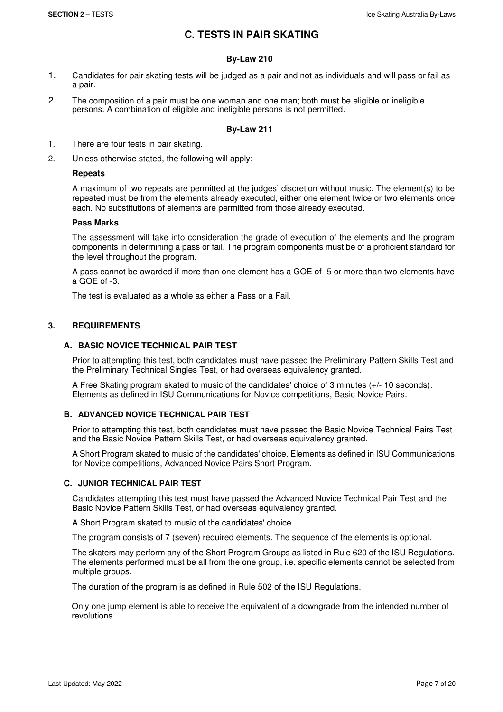# **C. TESTS IN PAIR SKATING**

# **By-Law 210**

- 1. Candidates for pair skating tests will be judged as a pair and not as individuals and will pass or fail as a pair.
- 2. The composition of a pair must be one woman and one man; both must be eligible or ineligible persons. A combination of eligible and ineligible persons is not permitted.

# **By-Law 211**

- 1. There are four tests in pair skating.
- 2. Unless otherwise stated, the following will apply:

### **Repeats**

A maximum of two repeats are permitted at the judges' discretion without music. The element(s) to be repeated must be from the elements already executed, either one element twice or two elements once each. No substitutions of elements are permitted from those already executed.

#### **Pass Marks**

The assessment will take into consideration the grade of execution of the elements and the program components in determining a pass or fail. The program components must be of a proficient standard for the level throughout the program.

A pass cannot be awarded if more than one element has a GOE of -5 or more than two elements have a GOE of -3.

The test is evaluated as a whole as either a Pass or a Fail.

# **3. REQUIREMENTS**

# **A. BASIC NOVICE TECHNICAL PAIR TEST**

Prior to attempting this test, both candidates must have passed the Preliminary Pattern Skills Test and the Preliminary Technical Singles Test, or had overseas equivalency granted.

A Free Skating program skated to music of the candidates' choice of 3 minutes (+/- 10 seconds). Elements as defined in ISU Communications for Novice competitions, Basic Novice Pairs.

# **B. ADVANCED NOVICE TECHNICAL PAIR TEST**

Prior to attempting this test, both candidates must have passed the Basic Novice Technical Pairs Test and the Basic Novice Pattern Skills Test, or had overseas equivalency granted.

A Short Program skated to music of the candidates' choice. Elements as defined in ISU Communications for Novice competitions, Advanced Novice Pairs Short Program.

#### **C. JUNIOR TECHNICAL PAIR TEST**

Candidates attempting this test must have passed the Advanced Novice Technical Pair Test and the Basic Novice Pattern Skills Test, or had overseas equivalency granted.

A Short Program skated to music of the candidates' choice.

The program consists of 7 (seven) required elements. The sequence of the elements is optional.

The skaters may perform any of the Short Program Groups as listed in Rule 620 of the ISU Regulations. The elements performed must be all from the one group, i.e. specific elements cannot be selected from multiple groups.

The duration of the program is as defined in Rule 502 of the ISU Regulations.

Only one jump element is able to receive the equivalent of a downgrade from the intended number of revolutions.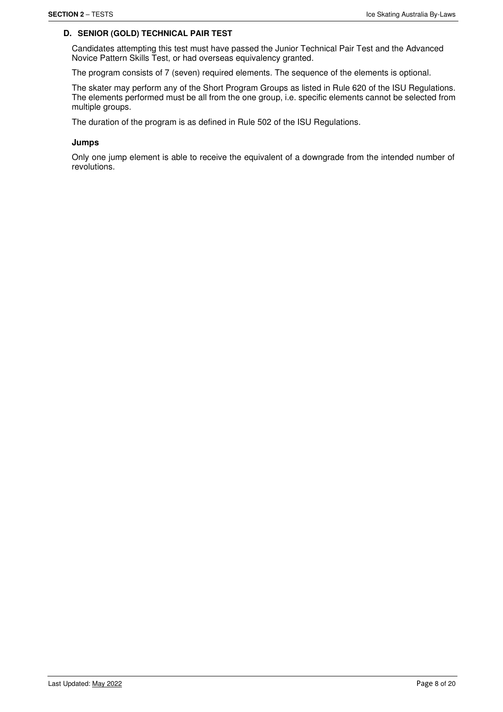# **D. SENIOR (GOLD) TECHNICAL PAIR TEST**

Candidates attempting this test must have passed the Junior Technical Pair Test and the Advanced Novice Pattern Skills Test, or had overseas equivalency granted.

The program consists of 7 (seven) required elements. The sequence of the elements is optional.

The skater may perform any of the Short Program Groups as listed in Rule 620 of the ISU Regulations. The elements performed must be all from the one group, i.e. specific elements cannot be selected from multiple groups.

The duration of the program is as defined in Rule 502 of the ISU Regulations.

#### **Jumps**

Only one jump element is able to receive the equivalent of a downgrade from the intended number of revolutions.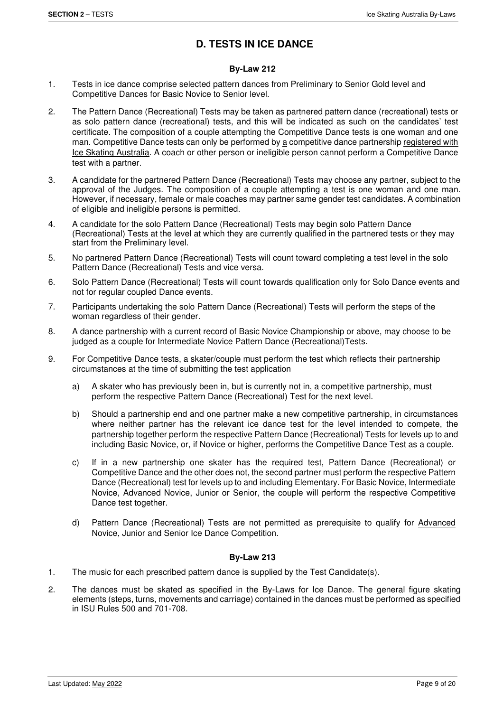# **D. TESTS IN ICE DANCE**

# **By-Law 212**

- 1. Tests in ice dance comprise selected pattern dances from Preliminary to Senior Gold level and Competitive Dances for Basic Novice to Senior level.
- 2. The Pattern Dance (Recreational) Tests may be taken as partnered pattern dance (recreational) tests or as solo pattern dance (recreational) tests, and this will be indicated as such on the candidates' test certificate. The composition of a couple attempting the Competitive Dance tests is one woman and one man. Competitive Dance tests can only be performed by a competitive dance partnership registered with Ice Skating Australia. A coach or other person or ineligible person cannot perform a Competitive Dance test with a partner.
- 3. A candidate for the partnered Pattern Dance (Recreational) Tests may choose any partner, subject to the approval of the Judges. The composition of a couple attempting a test is one woman and one man. However, if necessary, female or male coaches may partner same gender test candidates. A combination of eligible and ineligible persons is permitted.
- 4. A candidate for the solo Pattern Dance (Recreational) Tests may begin solo Pattern Dance (Recreational) Tests at the level at which they are currently qualified in the partnered tests or they may start from the Preliminary level.
- 5. No partnered Pattern Dance (Recreational) Tests will count toward completing a test level in the solo Pattern Dance (Recreational) Tests and vice versa.
- 6. Solo Pattern Dance (Recreational) Tests will count towards qualification only for Solo Dance events and not for regular coupled Dance events.
- 7. Participants undertaking the solo Pattern Dance (Recreational) Tests will perform the steps of the woman regardless of their gender.
- 8. A dance partnership with a current record of Basic Novice Championship or above, may choose to be judged as a couple for Intermediate Novice Pattern Dance (Recreational)Tests.
- 9. For Competitive Dance tests, a skater/couple must perform the test which reflects their partnership circumstances at the time of submitting the test application
	- a) A skater who has previously been in, but is currently not in, a competitive partnership, must perform the respective Pattern Dance (Recreational) Test for the next level.
	- b) Should a partnership end and one partner make a new competitive partnership, in circumstances where neither partner has the relevant ice dance test for the level intended to compete, the partnership together perform the respective Pattern Dance (Recreational) Tests for levels up to and including Basic Novice, or, if Novice or higher, performs the Competitive Dance Test as a couple.
	- c) If in a new partnership one skater has the required test, Pattern Dance (Recreational) or Competitive Dance and the other does not, the second partner must perform the respective Pattern Dance (Recreational) test for levels up to and including Elementary. For Basic Novice, Intermediate Novice, Advanced Novice, Junior or Senior, the couple will perform the respective Competitive Dance test together.
	- d) Pattern Dance (Recreational) Tests are not permitted as prerequisite to qualify for Advanced Novice, Junior and Senior Ice Dance Competition.

# **By-Law 213**

- 1. The music for each prescribed pattern dance is supplied by the Test Candidate(s).
- 2. The dances must be skated as specified in the By-Laws for Ice Dance. The general figure skating elements (steps, turns, movements and carriage) contained in the dances must be performed as specified in ISU Rules 500 and 701-708.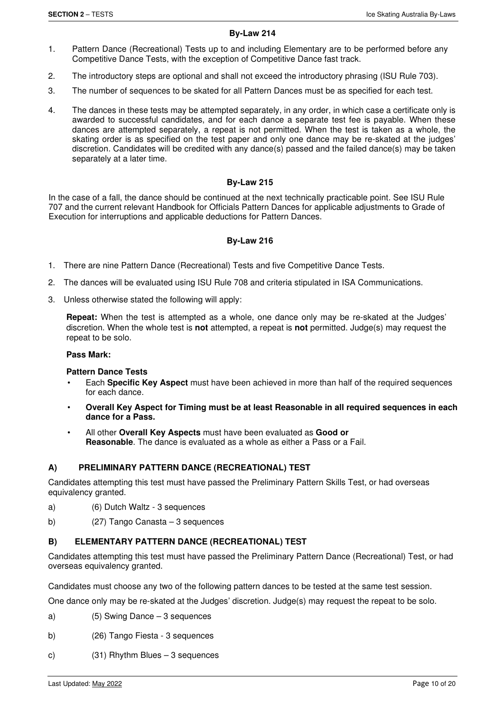# **By-Law 214**

- 1. Pattern Dance (Recreational) Tests up to and including Elementary are to be performed before any Competitive Dance Tests, with the exception of Competitive Dance fast track.
- 2. The introductory steps are optional and shall not exceed the introductory phrasing (ISU Rule 703).
- 3. The number of sequences to be skated for all Pattern Dances must be as specified for each test.
- 4. The dances in these tests may be attempted separately, in any order, in which case a certificate only is awarded to successful candidates, and for each dance a separate test fee is payable. When these dances are attempted separately, a repeat is not permitted. When the test is taken as a whole, the skating order is as specified on the test paper and only one dance may be re-skated at the judges' discretion. Candidates will be credited with any dance(s) passed and the failed dance(s) may be taken separately at a later time.

# **By-Law 215**

In the case of a fall, the dance should be continued at the next technically practicable point. See ISU Rule 707 and the current relevant Handbook for Officials Pattern Dances for applicable adjustments to Grade of Execution for interruptions and applicable deductions for Pattern Dances.

# **By-Law 216**

- 1. There are nine Pattern Dance (Recreational) Tests and five Competitive Dance Tests.
- 2. The dances will be evaluated using ISU Rule 708 and criteria stipulated in ISA Communications.
- 3. Unless otherwise stated the following will apply:

**Repeat:** When the test is attempted as a whole, one dance only may be re-skated at the Judges' discretion. When the whole test is **not** attempted, a repeat is **not** permitted. Judge(s) may request the repeat to be solo.

#### **Pass Mark:**

#### **Pattern Dance Tests**

- Each **Specific Key Aspect** must have been achieved in more than half of the required sequences for each dance.
- **Overall Key Aspect for Timing must be at least Reasonable in all required sequences in each dance for a Pass.**
- All other **Overall Key Aspects** must have been evaluated as **Good or Reasonable**. The dance is evaluated as a whole as either a Pass or a Fail.

# **A) PRELIMINARY PATTERN DANCE (RECREATIONAL) TEST**

Candidates attempting this test must have passed the Preliminary Pattern Skills Test, or had overseas equivalency granted.

- a) (6) Dutch Waltz 3 sequences
- b) (27) Tango Canasta 3 sequences

# **B) ELEMENTARY PATTERN DANCE (RECREATIONAL) TEST**

Candidates attempting this test must have passed the Preliminary Pattern Dance (Recreational) Test, or had overseas equivalency granted.

Candidates must choose any two of the following pattern dances to be tested at the same test session.

One dance only may be re-skated at the Judges' discretion. Judge(s) may request the repeat to be solo.

- a) (5) Swing Dance 3 sequences
- b) (26) Tango Fiesta 3 sequences
- c) (31) Rhythm Blues 3 sequences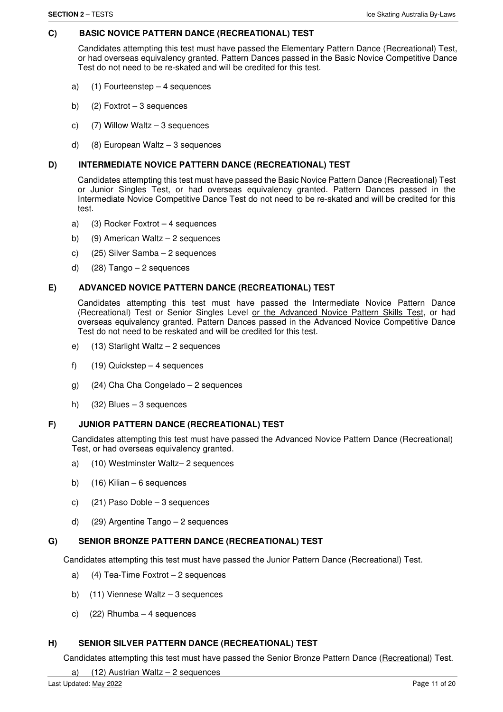# **C) BASIC NOVICE PATTERN DANCE (RECREATIONAL) TEST**

Candidates attempting this test must have passed the Elementary Pattern Dance (Recreational) Test, or had overseas equivalency granted. Pattern Dances passed in the Basic Novice Competitive Dance Test do not need to be re-skated and will be credited for this test.

- a) (1) Fourteenstep 4 sequences
- b) (2) Foxtrot 3 sequences
- c) (7) Willow Waltz 3 sequences
- d)  $(8)$  European Waltz 3 sequences

#### **D) INTERMEDIATE NOVICE PATTERN DANCE (RECREATIONAL) TEST**

Candidates attempting this test must have passed the Basic Novice Pattern Dance (Recreational) Test or Junior Singles Test, or had overseas equivalency granted. Pattern Dances passed in the Intermediate Novice Competitive Dance Test do not need to be re-skated and will be credited for this test.

- a) (3) Rocker Foxtrot 4 sequences
- b) (9) American Waltz 2 sequences
- c) (25) Silver Samba 2 sequences
- d)  $(28)$  Tango 2 sequences

### **E) ADVANCED NOVICE PATTERN DANCE (RECREATIONAL) TEST**

Candidates attempting this test must have passed the Intermediate Novice Pattern Dance (Recreational) Test or Senior Singles Level or the Advanced Novice Pattern Skills Test, or had overseas equivalency granted. Pattern Dances passed in the Advanced Novice Competitive Dance Test do not need to be reskated and will be credited for this test.

- e) (13) Starlight Waltz 2 sequences
- f)  $(19)$  Quickstep 4 sequences
- g) (24) Cha Cha Congelado 2 sequences
- h) (32) Blues 3 sequences

#### **F) JUNIOR PATTERN DANCE (RECREATIONAL) TEST**

Candidates attempting this test must have passed the Advanced Novice Pattern Dance (Recreational) Test, or had overseas equivalency granted.

- a) (10) Westminster Waltz– 2 sequences
- b)  $(16)$  Kilian 6 sequences
- c) (21) Paso Doble 3 sequences
- d) (29) Argentine Tango 2 sequences

# **G) SENIOR BRONZE PATTERN DANCE (RECREATIONAL) TEST**

Candidates attempting this test must have passed the Junior Pattern Dance (Recreational) Test.

- a) (4) Tea-Time Foxtrot 2 sequences
- b)  $(11)$  Viennese Waltz 3 sequences
- c) (22) Rhumba 4 sequences

### **H) SENIOR SILVER PATTERN DANCE (RECREATIONAL) TEST**

Candidates attempting this test must have passed the Senior Bronze Pattern Dance (Recreational) Test.

a)  $(12)$  Austrian Waltz – 2 sequences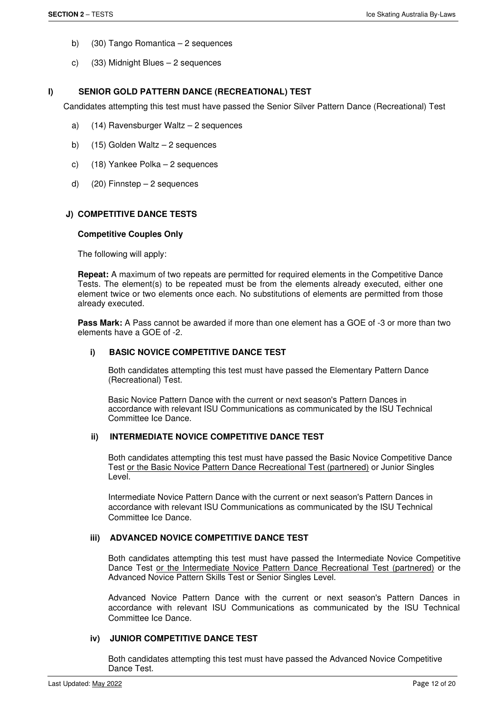- b) (30) Tango Romantica 2 sequences
- c) (33) Midnight Blues 2 sequences

# **I) SENIOR GOLD PATTERN DANCE (RECREATIONAL) TEST**

Candidates attempting this test must have passed the Senior Silver Pattern Dance (Recreational) Test

- a) (14) Ravensburger Waltz 2 sequences
- b) (15) Golden Waltz 2 sequences
- c) (18) Yankee Polka 2 sequences
- d) (20) Finnstep 2 sequences

# **J) COMPETITIVE DANCE TESTS**

#### **Competitive Couples Only**

The following will apply:

**Repeat:** A maximum of two repeats are permitted for required elements in the Competitive Dance Tests. The element(s) to be repeated must be from the elements already executed, either one element twice or two elements once each. No substitutions of elements are permitted from those already executed.

**Pass Mark:** A Pass cannot be awarded if more than one element has a GOE of -3 or more than two elements have a GOE of -2.

### **i) BASIC NOVICE COMPETITIVE DANCE TEST**

Both candidates attempting this test must have passed the Elementary Pattern Dance (Recreational) Test.

Basic Novice Pattern Dance with the current or next season's Pattern Dances in accordance with relevant ISU Communications as communicated by the ISU Technical Committee Ice Dance.

# *ii***) INTERMEDIATE NOVICE COMPETITIVE DANCE TEST**

Both candidates attempting this test must have passed the Basic Novice Competitive Dance Test or the Basic Novice Pattern Dance Recreational Test (partnered) or Junior Singles Level.

Intermediate Novice Pattern Dance with the current or next season's Pattern Dances in accordance with relevant ISU Communications as communicated by the ISU Technical Committee Ice Dance.

### **iii) ADVANCED NOVICE COMPETITIVE DANCE TEST**

Both candidates attempting this test must have passed the Intermediate Novice Competitive Dance Test or the Intermediate Novice Pattern Dance Recreational Test (partnered) or the Advanced Novice Pattern Skills Test or Senior Singles Level.

Advanced Novice Pattern Dance with the current or next season's Pattern Dances in accordance with relevant ISU Communications as communicated by the ISU Technical Committee Ice Dance.

# **iv) JUNIOR COMPETITIVE DANCE TEST**

Both candidates attempting this test must have passed the Advanced Novice Competitive Dance Test.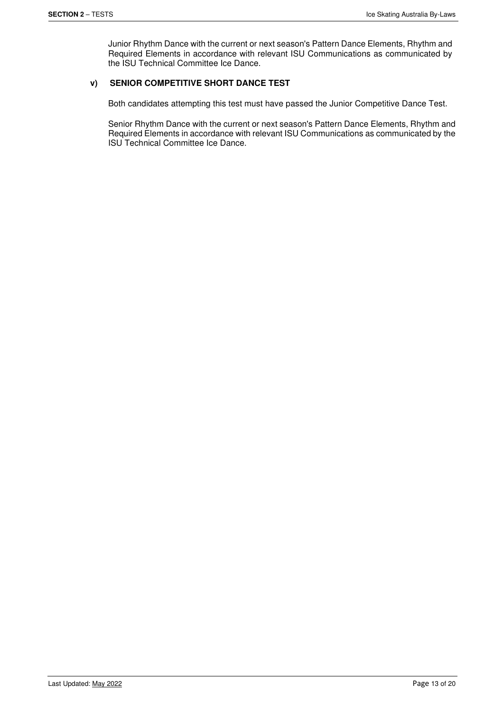Junior Rhythm Dance with the current or next season's Pattern Dance Elements, Rhythm and Required Elements in accordance with relevant ISU Communications as communicated by the ISU Technical Committee Ice Dance.

# **v) SENIOR COMPETITIVE SHORT DANCE TEST**

Both candidates attempting this test must have passed the Junior Competitive Dance Test.

Senior Rhythm Dance with the current or next season's Pattern Dance Elements, Rhythm and Required Elements in accordance with relevant ISU Communications as communicated by the ISU Technical Committee Ice Dance.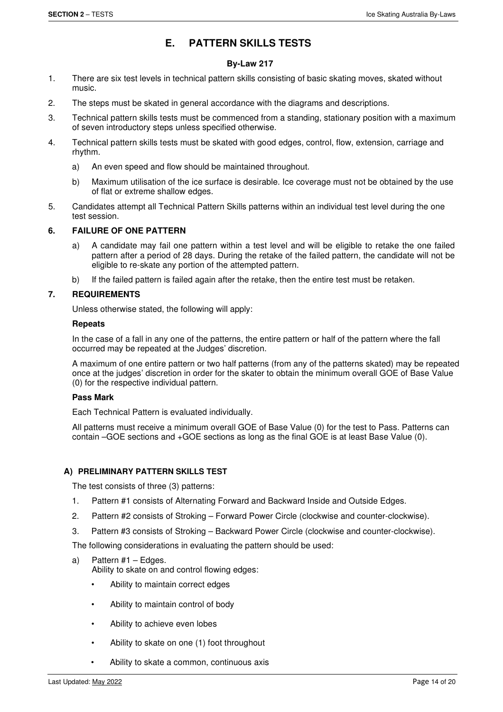# **E. PATTERN SKILLS TESTS**

# **By-Law 217**

- 1. There are six test levels in technical pattern skills consisting of basic skating moves, skated without music.
- 2. The steps must be skated in general accordance with the diagrams and descriptions.
- 3. Technical pattern skills tests must be commenced from a standing, stationary position with a maximum of seven introductory steps unless specified otherwise.
- 4. Technical pattern skills tests must be skated with good edges, control, flow, extension, carriage and rhythm.
	- a) An even speed and flow should be maintained throughout.
	- b) Maximum utilisation of the ice surface is desirable. Ice coverage must not be obtained by the use of flat or extreme shallow edges.
- 5. Candidates attempt all Technical Pattern Skills patterns within an individual test level during the one test session.

### **6. FAILURE OF ONE PATTERN**

- a) A candidate may fail one pattern within a test level and will be eligible to retake the one failed pattern after a period of 28 days. During the retake of the failed pattern, the candidate will not be eligible to re-skate any portion of the attempted pattern.
- b) If the failed pattern is failed again after the retake, then the entire test must be retaken.

# **7. REQUIREMENTS**

Unless otherwise stated, the following will apply:

#### **Repeats**

In the case of a fall in any one of the patterns, the entire pattern or half of the pattern where the fall occurred may be repeated at the Judges' discretion.

A maximum of one entire pattern or two half patterns (from any of the patterns skated) may be repeated once at the judges' discretion in order for the skater to obtain the minimum overall GOE of Base Value (0) for the respective individual pattern.

# **Pass Mark**

Each Technical Pattern is evaluated individually.

All patterns must receive a minimum overall GOE of Base Value (0) for the test to Pass. Patterns can contain –GOE sections and +GOE sections as long as the final GOE is at least Base Value (0).

# **A) PRELIMINARY PATTERN SKILLS TEST**

The test consists of three (3) patterns:

- 1. Pattern #1 consists of Alternating Forward and Backward Inside and Outside Edges.
- 2. Pattern #2 consists of Stroking Forward Power Circle (clockwise and counter-clockwise).
- 3. Pattern #3 consists of Stroking Backward Power Circle (clockwise and counter-clockwise).

The following considerations in evaluating the pattern should be used:

a) Pattern #1 – Edges.

Ability to skate on and control flowing edges:

- Ability to maintain correct edges
- Ability to maintain control of body
- Ability to achieve even lobes
- Ability to skate on one (1) foot throughout
- Ability to skate a common, continuous axis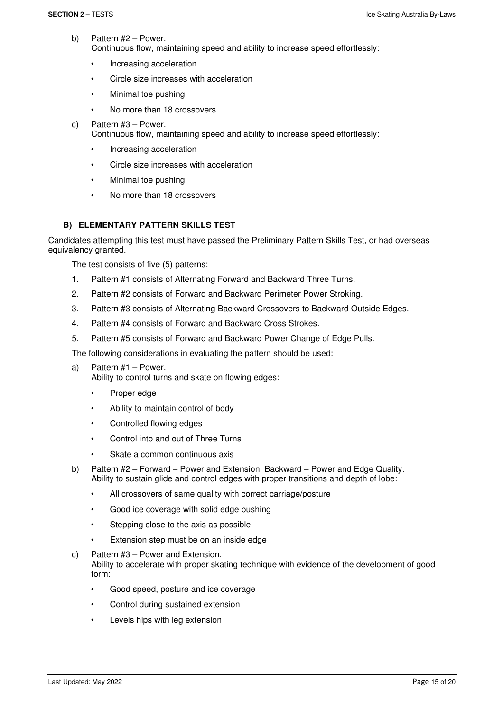- b) Pattern #2 Power. Continuous flow, maintaining speed and ability to increase speed effortlessly:
	- Increasing acceleration
	- Circle size increases with acceleration
	- Minimal toe pushing
	- No more than 18 crossovers
- c) Pattern #3 Power.

Continuous flow, maintaining speed and ability to increase speed effortlessly:

- Increasing acceleration
- Circle size increases with acceleration
- Minimal toe pushing
- No more than 18 crossovers

# **B) ELEMENTARY PATTERN SKILLS TEST**

Candidates attempting this test must have passed the Preliminary Pattern Skills Test, or had overseas equivalency granted.

The test consists of five (5) patterns:

- 1. Pattern #1 consists of Alternating Forward and Backward Three Turns.
- 2. Pattern #2 consists of Forward and Backward Perimeter Power Stroking.
- 3. Pattern #3 consists of Alternating Backward Crossovers to Backward Outside Edges.
- 4. Pattern #4 consists of Forward and Backward Cross Strokes.
- 5. Pattern #5 consists of Forward and Backward Power Change of Edge Pulls.

The following considerations in evaluating the pattern should be used:

- a) Pattern #1 Power. Ability to control turns and skate on flowing edges:
	- Proper edge
	- Ability to maintain control of body
	- Controlled flowing edges
	- Control into and out of Three Turns
	- Skate a common continuous axis
- b) Pattern #2 Forward Power and Extension, Backward Power and Edge Quality. Ability to sustain glide and control edges with proper transitions and depth of lobe:
	- All crossovers of same quality with correct carriage/posture
	- Good ice coverage with solid edge pushing
	- Stepping close to the axis as possible
	- Extension step must be on an inside edge
- c) Pattern #3 Power and Extension. Ability to accelerate with proper skating technique with evidence of the development of good form:
	- Good speed, posture and ice coverage
	- Control during sustained extension
	- Levels hips with leg extension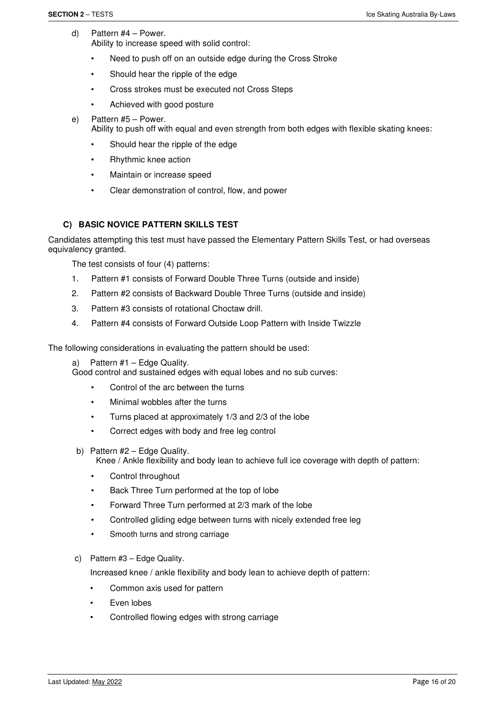- d) Pattern #4 Power. Ability to increase speed with solid control:
	- Need to push off on an outside edge during the Cross Stroke
	- Should hear the ripple of the edge
	- Cross strokes must be executed not Cross Steps
	- Achieved with good posture
- e) Pattern #5 Power.

Ability to push off with equal and even strength from both edges with flexible skating knees:

- Should hear the ripple of the edge
- Rhythmic knee action
- Maintain or increase speed
- Clear demonstration of control, flow, and power

# **C) BASIC NOVICE PATTERN SKILLS TEST**

Candidates attempting this test must have passed the Elementary Pattern Skills Test, or had overseas equivalency granted.

The test consists of four (4) patterns:

- 1. Pattern #1 consists of Forward Double Three Turns (outside and inside)
- 2. Pattern #2 consists of Backward Double Three Turns (outside and inside)
- 3. Pattern #3 consists of rotational Choctaw drill.
- 4. Pattern #4 consists of Forward Outside Loop Pattern with Inside Twizzle

The following considerations in evaluating the pattern should be used:

a) Pattern #1 – Edge Quality.

Good control and sustained edges with equal lobes and no sub curves:

- Control of the arc between the turns
- Minimal wobbles after the turns
- Turns placed at approximately 1/3 and 2/3 of the lobe
- Correct edges with body and free leg control
- b) Pattern #2 Edge Quality.

Knee / Ankle flexibility and body lean to achieve full ice coverage with depth of pattern:

- Control throughout
- Back Three Turn performed at the top of lobe
- Forward Three Turn performed at 2/3 mark of the lobe
- Controlled gliding edge between turns with nicely extended free leg
- Smooth turns and strong carriage
- c) Pattern #3 Edge Quality.

Increased knee / ankle flexibility and body lean to achieve depth of pattern:

- Common axis used for pattern
- Even lobes
- Controlled flowing edges with strong carriage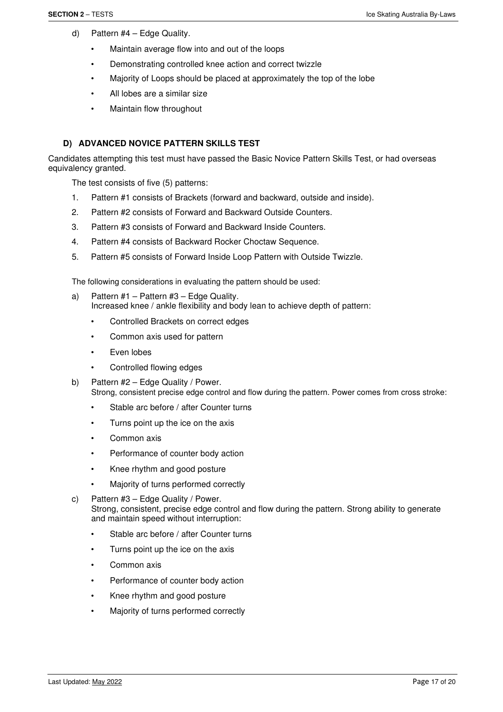- d) Pattern #4 Edge Quality.
	- Maintain average flow into and out of the loops
	- Demonstrating controlled knee action and correct twizzle
	- Majority of Loops should be placed at approximately the top of the lobe
	- All lobes are a similar size
	- Maintain flow throughout

### **D) ADVANCED NOVICE PATTERN SKILLS TEST**

Candidates attempting this test must have passed the Basic Novice Pattern Skills Test, or had overseas equivalency granted.

The test consists of five (5) patterns:

- 1. Pattern #1 consists of Brackets (forward and backward, outside and inside).
- 2. Pattern #2 consists of Forward and Backward Outside Counters.
- 3. Pattern #3 consists of Forward and Backward Inside Counters.
- 4. Pattern #4 consists of Backward Rocker Choctaw Sequence.
- 5. Pattern #5 consists of Forward Inside Loop Pattern with Outside Twizzle.

The following considerations in evaluating the pattern should be used:

- a) Pattern #1 Pattern #3 Edge Quality. Increased knee / ankle flexibility and body lean to achieve depth of pattern:
	- Controlled Brackets on correct edges
	- Common axis used for pattern
	- Even lobes
	- Controlled flowing edges
- b) Pattern #2 Edge Quality / Power. Strong, consistent precise edge control and flow during the pattern. Power comes from cross stroke:
	- Stable arc before / after Counter turns
	- Turns point up the ice on the axis
	- Common axis
	- Performance of counter body action
	- Knee rhythm and good posture
	- Majority of turns performed correctly
- c) Pattern #3 Edge Quality / Power. Strong, consistent, precise edge control and flow during the pattern. Strong ability to generate and maintain speed without interruption:
	- Stable arc before / after Counter turns
	- Turns point up the ice on the axis
	- Common axis
	- Performance of counter body action
	- Knee rhythm and good posture
	- Majority of turns performed correctly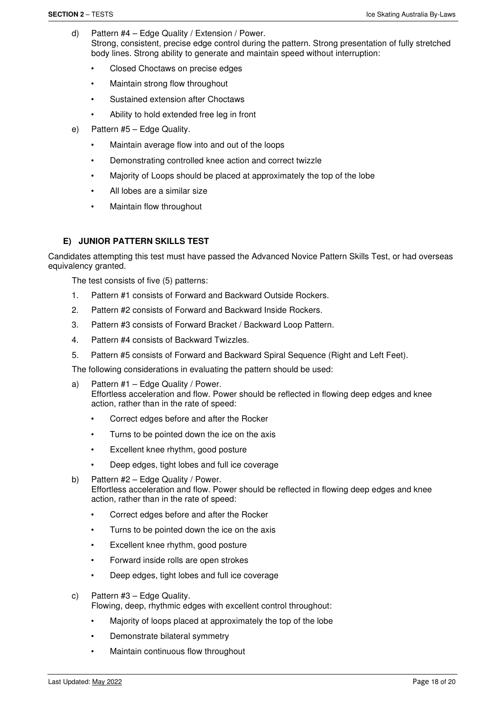- d) Pattern #4 Edge Quality / Extension / Power. Strong, consistent, precise edge control during the pattern. Strong presentation of fully stretched body lines. Strong ability to generate and maintain speed without interruption:
	- Closed Choctaws on precise edges
	- Maintain strong flow throughout
	- Sustained extension after Choctaws
	- Ability to hold extended free leg in front
- e) Pattern #5 Edge Quality.
	- Maintain average flow into and out of the loops
	- Demonstrating controlled knee action and correct twizzle
	- Majority of Loops should be placed at approximately the top of the lobe
	- All lobes are a similar size
	- Maintain flow throughout

# **E) JUNIOR PATTERN SKILLS TEST**

Candidates attempting this test must have passed the Advanced Novice Pattern Skills Test, or had overseas equivalency granted.

The test consists of five (5) patterns:

- 1. Pattern #1 consists of Forward and Backward Outside Rockers.
- 2. Pattern #2 consists of Forward and Backward Inside Rockers.
- 3. Pattern #3 consists of Forward Bracket / Backward Loop Pattern.
- 4. Pattern #4 consists of Backward Twizzles.
- 5. Pattern #5 consists of Forward and Backward Spiral Sequence (Right and Left Feet).

The following considerations in evaluating the pattern should be used:

- a) Pattern #1 Edge Quality / Power. Effortless acceleration and flow. Power should be reflected in flowing deep edges and knee action, rather than in the rate of speed:
	- Correct edges before and after the Rocker
	- Turns to be pointed down the ice on the axis
	- Excellent knee rhythm, good posture
	- Deep edges, tight lobes and full ice coverage
- b) Pattern #2 Edge Quality / Power. Effortless acceleration and flow. Power should be reflected in flowing deep edges and knee action, rather than in the rate of speed:
	- Correct edges before and after the Rocker
	- Turns to be pointed down the ice on the axis
	- Excellent knee rhythm, good posture
	- Forward inside rolls are open strokes
	- Deep edges, tight lobes and full ice coverage
- c) Pattern #3 Edge Quality.

Flowing, deep, rhythmic edges with excellent control throughout:

- Majority of loops placed at approximately the top of the lobe
- Demonstrate bilateral symmetry
- Maintain continuous flow throughout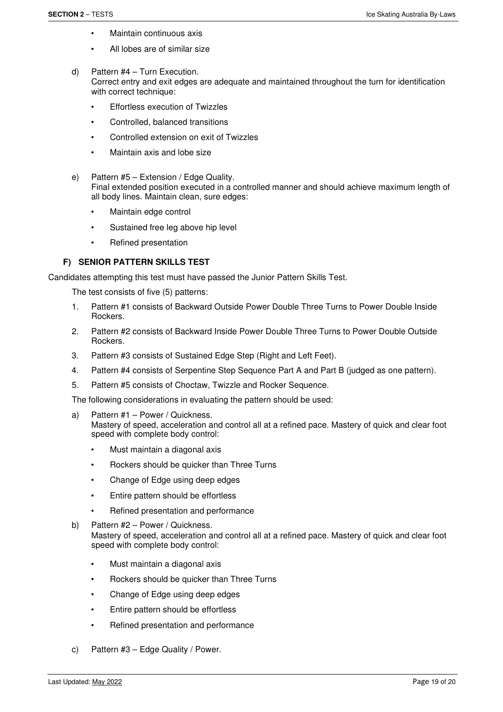- Maintain continuous axis
- All lobes are of similar size
- d) Pattern #4 Turn Execution. Correct entry and exit edges are adequate and maintained throughout the turn for identification with correct technique:
	- **Effortless execution of Twizzles**
	- Controlled, balanced transitions
	- Controlled extension on exit of Twizzles
	- Maintain axis and lobe size
- e) Pattern #5 Extension / Edge Quality. Final extended position executed in a controlled manner and should achieve maximum length of all body lines. Maintain clean, sure edges:
	- Maintain edge control
	- Sustained free leg above hip level
	- Refined presentation

# **F) SENIOR PATTERN SKILLS TEST**

Candidates attempting this test must have passed the Junior Pattern Skills Test.

The test consists of five (5) patterns:

- 1. Pattern #1 consists of Backward Outside Power Double Three Turns to Power Double Inside Rockers.
- 2. Pattern #2 consists of Backward Inside Power Double Three Turns to Power Double Outside Rockers.
- 3. Pattern #3 consists of Sustained Edge Step (Right and Left Feet).
- 4. Pattern #4 consists of Serpentine Step Sequence Part A and Part B (judged as one pattern).
- 5. Pattern #5 consists of Choctaw, Twizzle and Rocker Sequence.

The following considerations in evaluating the pattern should be used:

- a) Pattern #1 Power / Quickness. Mastery of speed, acceleration and control all at a refined pace. Mastery of quick and clear foot speed with complete body control:
	- Must maintain a diagonal axis
	- Rockers should be quicker than Three Turns
	- Change of Edge using deep edges
	- Entire pattern should be effortless
	- Refined presentation and performance
- b) Pattern #2 Power / Quickness. Mastery of speed, acceleration and control all at a refined pace. Mastery of quick and clear foot speed with complete body control:
	- Must maintain a diagonal axis
	- Rockers should be quicker than Three Turns
	- Change of Edge using deep edges
	- Entire pattern should be effortless
	- Refined presentation and performance
- c) Pattern #3 Edge Quality / Power.